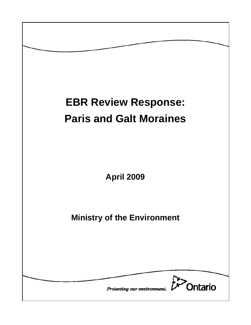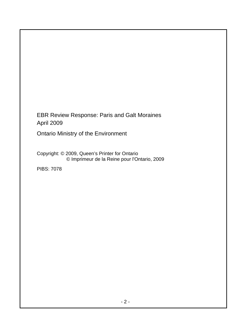EBR Review Response: Paris and Galt Moraines April 2009

Ontario Ministry of the Environment

Copyright: © 2009, Queen's Printer for Ontario © Imprimeur de la Reine pour l'Ontario, 2009

PIBS: 7078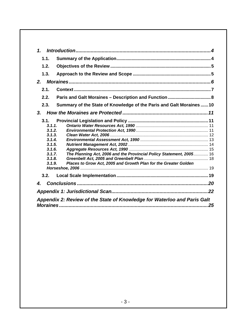| $\mathbf{1}$                                                                                                                                                                                                                             |
|------------------------------------------------------------------------------------------------------------------------------------------------------------------------------------------------------------------------------------------|
| 1.1.                                                                                                                                                                                                                                     |
| 1.2.                                                                                                                                                                                                                                     |
| 1.3.                                                                                                                                                                                                                                     |
| 2.                                                                                                                                                                                                                                       |
| 2.1.                                                                                                                                                                                                                                     |
| 2.2.                                                                                                                                                                                                                                     |
| 2.3.<br>Summary of the State of Knowledge of the Paris and Galt Moraines 10                                                                                                                                                              |
| 3.                                                                                                                                                                                                                                       |
| 3.1.<br>3.1.1.<br>3.1.2.<br>3.1.3.<br>3.1.4.<br>3.1.5.<br>3.1.6.<br>The Planning Act, 2006 and the Provincial Policy Statement, 2005 16<br>3.1.7.<br>3.1.8.<br>Places to Grow Act, 2005 and Growth Plan for the Greater Golden<br>3.1.9. |
| 3.2.                                                                                                                                                                                                                                     |
| 4.                                                                                                                                                                                                                                       |
|                                                                                                                                                                                                                                          |
| Appendix 2: Review of the State of Knowledge for Waterloo and Paris Galt<br>25                                                                                                                                                           |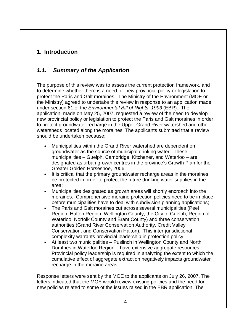# **1. Introduction**

# *1.1. Summary of the Application*

The purpose of this review was to assess the current protection framework, and to determine whether there is a need for new provincial policy or legislation to protect the Paris and Galt moraines. The Ministry of the Environment (MOE or the Ministry) agreed to undertake this review in response to an application made under section 61 of the *Environmental Bill of Rights, 1993* (EBR). The application, made on May 25, 2007, requested a review of the need to develop new provincial policy or legislation to protect the Paris and Galt moraines in order to protect groundwater recharge in the Upper Grand River watershed and other watersheds located along the moraines. The applicants submitted that a review should be undertaken because:

- Municipalities within the Grand River watershed are dependent on groundwater as the source of municipal drinking water. These municipalities – Guelph, Cambridge, Kitchener, and Waterloo – are designated as urban growth centres in the province's Growth Plan for the Greater Golden Horseshoe, 2006;
- It is critical that the primary groundwater recharge areas in the moraines be protected in order to protect the future drinking water supplies in the area;
- Municipalities designated as growth areas will shortly encroach into the moraines. Comprehensive moraine protection policies need to be in place before municipalities have to deal with subdivision planning applications;
- The Paris and Galt moraines cut across several municipalities (Peel Region, Halton Region, Wellington County, the City of Guelph, Region of Waterloo, Norfolk County and Brant County) and three conservation authorities (Grand River Conservation Authority, Credit Valley Conservation, and Conservation Halton). This inter-jurisdictional complexity warrants provincial leadership in protection policy;
- At least two municipalities Puslinch in Wellington County and North Dumfries in Waterloo Region – have extensive aggregate resources. Provincial policy leadership is required in analyzing the extent to which the cumulative effect of aggregate extraction negatively impacts groundwater recharge in the moraine areas.

Response letters were sent by the MOE to the applicants on July 26, 2007. The letters indicated that the MOE would review existing policies and the need for new policies related to some of the issues raised in the EBR application. The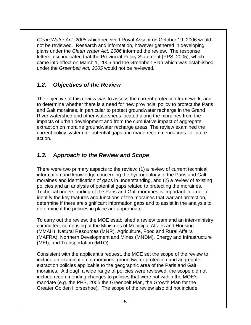*Clean Water Act, 2006* which received Royal Assent on October 19, 2006 would not be reviewed. Research and information, however gathered in developing plans under the *Clean Water Act, 2006* informed the review. The response letters also indicated that the Provincial Policy Statement (PPS, 2005), which came into effect on March 1, 2005 and the Greenbelt Plan which was established under the *Greenbelt Act, 2005* would not be reviewed.

# *1.2. Objectives of the Review*

The objective of this review was to assess the current protection framework, and to determine whether there is a need for new provincial policy to protect the Paris and Galt moraines, in particular to protect groundwater recharge in the Grand River watershed and other watersheds located along the moraines from the impacts of urban development and from the cumulative impact of aggregate extraction on moraine groundwater recharge areas. The review examined the current policy system for potential gaps and made recommendations for future action.

# *1.3. Approach to the Review and Scope*

There were two primary aspects to the review: (1) a review of current technical information and knowledge concerning the hydrogeology of the Paris and Galt moraines and identification of gaps in understanding, and (2) a review of existing policies and an analysis of potential gaps related to protecting the moraines. Technical understanding of the Paris and Galt moraines is important in order to identify the key features and functions of the moraines that warrant protection, determine if there are significant information gaps and to assist in the analysis to determine if the policies in place are appropriate.

To carry out the review, the MOE established a review team and an inter-ministry committee, comprising of the Ministries of Municipal Affairs and Housing (MMAH), Natural Resources (MNR), Agriculture, Food and Rural Affairs (MAFRA), Northern Development and Mines (MNDM), Energy and Infrastructure (MEI), and Transportation (MTO).

Consistent with the applicant's request, the MOE set the scope of the review to include an examination of moraines, groundwater protection and aggregate extraction policies applicable to the geographic area of the Paris and Galt moraines. Although a wide range of policies were reviewed, the scope did not include recommending changes to policies that were not within the MOE's mandate (e.g. the PPS, 2005 the Greenbelt Plan, the Growth Plan for the Greater Golden Horseshoe). The scope of the review also did not include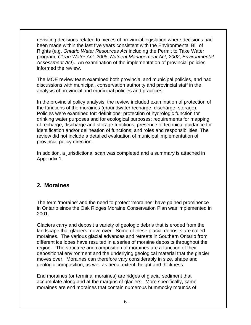revisiting decisions related to pieces of provincial legislation where decisions had been made within the last five years consistent with the Environmental Bill of Rights (e.g. *Ontario Water Resources Act* including the Permit to Take Water program, *Clean Water Act, 2006*, *Nutrient Management Act, 2002*, *Environmental Assessment Act*). An examination of the implementation of provincial policies informed the review.

The MOE review team examined both provincial and municipal policies, and had discussions with municipal, conservation authority and provincial staff in the analysis of provincial and municipal policies and practices.

In the provincial policy analysis, the review included examination of protection of the functions of the moraines (groundwater recharge, discharge, storage). Policies were examined for: definitions; protection of hydrologic function for drinking water purposes and for ecological purposes; requirements for mapping of recharge, discharge and storage functions; presence of technical guidance for identification and/or delineation of functions; and roles and responsibilities. The review did not include a detailed evaluation of municipal implementation of provincial policy direction.

In addition, a jurisdictional scan was completed and a summary is attached in Appendix 1.

## **2. Moraines**

The term 'moraine' and the need to protect 'moraines' have gained prominence in Ontario since the Oak Ridges Moraine Conservation Plan was implemented in 2001.

Glaciers carry and deposit a variety of geologic debris that is eroded from the landscape that glaciers move over. Some of these glacial deposits are called moraines. The various glacial advances and retreats in Southern Ontario from different ice lobes have resulted in a series of moraine deposits throughout the region. The structure and composition of moraines are a function of their depositional environment and the underlying geological material that the glacier moves over. Moraines can therefore vary considerably in size, shape and geologic composition, as well as aerial extent, height and thickness.

End moraines (or terminal moraines) are ridges of glacial sediment that accumulate along and at the margins of glaciers. More specifically, kame moraines are end moraines that contain numerous hummocky mounds of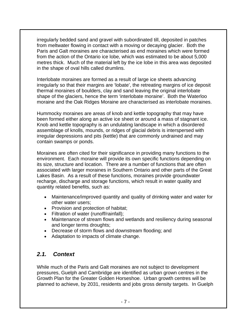irregularly bedded sand and gravel with subordinated till, deposited in patches from meltwater flowing in contact with a moving or decaying glacier. Both the Paris and Galt moraines are characterised as end moraines which were formed from the action of the Ontario ice lobe, which was estimated to be about 5,000 metres thick. Much of the material left by the ice lobe in this area was deposited in the shape of oval hills called drumlins.

Interlobate moraines are formed as a result of large ice sheets advancing irregularly so that their margins are 'lobate', the retreating margins of ice deposit thermal moraines of boulders, clay and sand leaving the original interlobate shape of the glaciers, hence the term 'interlobate moraine'. Both the Waterloo moraine and the Oak Ridges Moraine are characterised as interlobate moraines.

Hummocky moraines are areas of knob and kettle topography that may have been formed either along an active ice sheet or around a mass of stagnant ice. Knob and kettle topography is an undulating landscape in which a disordered assemblage of knolls, mounds, or ridges of glacial debris is interspersed with irregular depressions and pits (kettle) that are commonly undrained and may contain swamps or ponds.

Moraines are often cited for their significance in providing many functions to the environment. Each moraine will provide its own specific functions depending on its size, structure and location. There are a number of functions that are often associated with larger moraines in Southern Ontario and other parts of the Great Lakes Basin. As a result of these functions, moraines provide groundwater recharge, discharge and storage functions, which result in water quality and quantity related benefits, such as:

- Maintenance/improved quantity and quality of drinking water and water for other water users;
- Provision and protection of habitat;
- Filtration of water (runoff/rainfall);
- Maintenance of stream flows and wetlands and resiliency during seasonal and longer terms droughts;
- Decrease of storm flows and downstream flooding; and
- Adaptation to impacts of climate change.

### *2.1. Context*

While much of the Paris and Galt moraines are not subject to development pressures, Guelph and Cambridge are identified as urban grown centres in the Growth Plan for the Greater Golden Horseshoe. Urban growth centres will be planned to achieve, by 2031, residents and jobs gross density targets. In Guelph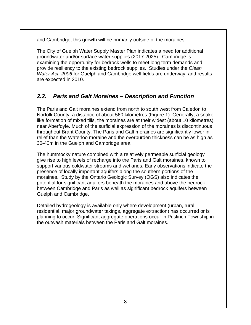and Cambridge, this growth will be primarily outside of the moraines.

The City of Guelph Water Supply Master Plan indicates a need for additional groundwater and/or surface water supplies (2017-2025). Cambridge is examining the opportunity for bedrock wells to meet long term demands and provide resiliency to the existing bedrock supplies. Studies under the *Clean Water Act, 2006* for Guelph and Cambridge well fields are underway, and results are expected in 2010.

# *2.2. Paris and Galt Moraines – Description and Function*

The Paris and Galt moraines extend from north to south west from Caledon to Norfolk County, a distance of about 560 kilometres (Figure 1). Generally, a snake like formation of mixed tills, the moraines are at their widest (about 10 kilometres) near Aberfoyle. Much of the surficial expression of the moraines is discontinuous throughout Brant County. The Paris and Galt moraines are significantly lower in relief than the Waterloo moraine and the overburden thickness can be as high as 30-40m in the Guelph and Cambridge area.

The hummocky nature combined with a relatively permeable surficial geology give rise to high levels of recharge into the Paris and Galt moraines, known to support various coldwater streams and wetlands. Early observations indicate the presence of locally important aquifers along the southern portions of the moraines. Study by the Ontario Geologic Survey (OGS) also indicates the potential for significant aquifers beneath the moraines and above the bedrock between Cambridge and Paris as well as significant bedrock aquifers between Guelph and Cambridge.

Detailed hydrogeology is available only where development (urban, rural residential, major groundwater takings, aggregate extraction) has occurred or is planning to occur. Significant aggregate operations occur in Puslinch Township in the outwash materials between the Paris and Galt moraines.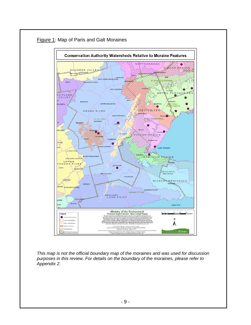

### Figure 1: Map of Paris and Galt Moraines

*This map is not the official boundary map of the moraines and was used for discussion purposes in this review. For details on the boundary of the moraines, please refer to Appendix 2.*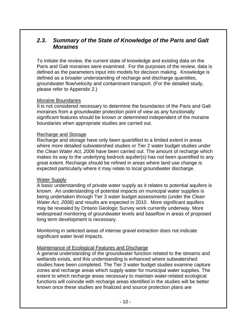### *2.3. Summary of the State of Knowledge of the Paris and Galt Moraines*

To initiate the review, the current state of knowledge and existing data on the Paris and Galt moraines were examined. For the purposes of the review, data is defined as the parameters input into models for decision making. Knowledge is defined as a broader understanding of recharge and discharge quantities, groundwater flow/velocity and contaminant transport. (For the detailed study, please refer to Appendix 2.)

#### Moraine Boundaries

It is not considered necessary to determine the boundaries of the Paris and Galt moraines from a groundwater protection point of view as any functionally significant features should be known or determined independent of the moraine boundaries when appropriate studies are carried out.

#### Recharge and Storage

Recharge and storage have only been quantified to a limited extent in areas where more detailed subwatershed studies or Tier 2 water budget studies under the *Clean Water Act, 2006* have been carried out. The amount of recharge which makes its way to the underlying bedrock aquifer(s) has not been quantified to any great extent. Recharge should be refined in areas where land use change is expected particularly where it may relate to local groundwater discharge.

#### Water Supply

A basic understanding of private water supply as it relates to potential aquifers is known. An understanding of potential impacts on municipal water supplies is being undertaken through Tier 3 water budget assessments (under the *Clean Water Act, 2006*) and results are expected in 2010. More significant aquifers may be revealed by Ontario Geologic Survey work currently underway. More widespread monitoring of groundwater levels and baseflow in areas of proposed long term development is necessary.

Monitoring in selected areas of intense gravel extraction does not indicate significant water level impacts.

#### Maintenance of Ecological Features and Discharge

A general understanding of the groundwater function related to the streams and wetlands exists, and this understanding is enhanced where subwatershed studies have been completed. The Tier 3 water budget studies examine capture zones and recharge areas which supply water for municipal water supplies. The extent to which recharge areas necessary to maintain water-related ecological functions will coincide with recharge areas identified in the studies will be better known once these studies are finalized and source protection plans are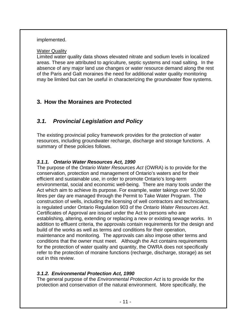#### implemented.

#### Water Quality

Limited water quality data shows elevated nitrate and sodium levels in localized areas. These are attributed to agriculture, septic systems and road salting. In the absence of any major land use changes or water resource demand along the rest of the Paris and Galt moraines the need for additional water quality monitoring may be limited but can be useful in characterizing the groundwater flow systems.

### **3. How the Moraines are Protected**

## *3.1. Provincial Legislation and Policy*

The existing provincial policy framework provides for the protection of water resources, including groundwater recharge, discharge and storage functions. A summary of these policies follows.

### *3.1.1. Ontario Water Resources Act, 1990*

The purpose of the *Ontario Water Resources Act* (OWRA) is to provide for the conservation, protection and management of Ontario's waters and for their efficient and sustainable use, in order to promote Ontario's long-term environmental, social and economic well-being. There are many tools under the Act which aim to achieve its purpose. For example, water takings over 50,000 litres per day are managed through the Permit to Take Water Program. The construction of wells, including the licensing of well contractors and technicians, is regulated under Ontario Regulation 903 of the *Ontario Water Resources Act*. Certificates of Approval are issued under the Act to persons who are establishing, altering, extending or replacing a new or existing sewage works. In addition to effluent criteria, the approvals contain requirements for the design and build of the works as well as terms and conditions for their operation, maintenance and monitoring. The approvals can also impose other terms and conditions that the owner must meet. Although the Act contains requirements for the protection of water quality and quantity, the OWRA does not specifically refer to the protection of moraine functions (recharge, discharge, storage) as set out in this review.

#### *3.1.2. Environmental Protection Act, 1990*

The general purpose of the *Environmental Protection Act* is to provide for the protection and conservation of the natural environment. More specifically, the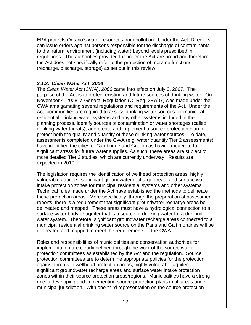EPA protects Ontario's water resources from pollution. Under the Act, Directors can issue orders against persons responsible for the discharge of contaminants to the natural environment (including water) beyond levels prescribed in regulations. The authorities provided for under the Act are broad and therefore the Act does not specifically refer to the protection of moraine functions (recharge, discharge, storage) as set out in this review.

### *3.1.3. Clean Water Act, 2006*

The *Clean Water Act* (CWA), *2006* came into effect on July 3, 2007. The purpose of the Act is to protect existing and future sources of drinking water. On November 4, 2008, a General Regulation (O. Reg. 287/07) was made under the CWA amalgamating several regulations and requirements of the Act. Under the Act, communities are required to assess drinking water sources for municipal residential drinking water systems and any other systems included in the planning process, identify sources of contamination or water shortages (called drinking water threats), and create and implement a source protection plan to protect both the quality and quantity of these drinking water sources. To date, assessments completed under the CWA (e.g. water quantity Tier 2 assessments) have identified the cities of Cambridge and Guelph as having moderate to significant stress for future water supplies. As such, these areas are subject to more detailed Tier 3 studies, which are currently underway. Results are expected in 2010.

The legislation requires the identification of wellhead protection areas, highly vulnerable aquifers, significant groundwater recharge areas, and surface water intake protection zones for municipal residential systems and other systems. Technical rules made under the Act have established the methods to delineate these protection areas. More specifically, through the preparation of assessment reports, there is a requirement that significant groundwater recharge areas be delineated and mapped. These areas must have a hydrological connection to a surface water body or aquifer that is a source of drinking water for a drinking water system. Therefore, significant groundwater recharge areas connected to a municipal residential drinking water source on the Paris and Galt moraines will be delineated and mapped to meet the requirements of the CWA.

Roles and responsibilities of municipalities and conservation authorities for implementation are clearly defined through the work of the source water protection committees as established by the Act and the regulation. Source protection committees are to determine appropriate policies for the protection against threats in wellhead protection areas, highly vulnerable aquifers, significant groundwater recharge areas and surface water intake protection zones within their source protection areas/regions. Municipalities have a strong role in developing and implementing source protection plans in all areas under municipal jurisdiction. With one-third representation on the source protection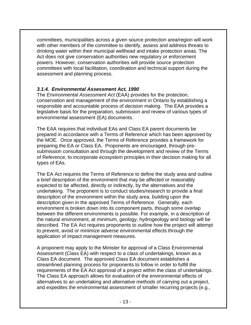committees, municipalities across a given source protection area/region will work with other members of the committee to identify, assess and address threats to drinking water within their municipal wellhead and intake protection areas. The Act does not give conservation authorities new regulatory or enforcement powers. However, conservation authorities will provide source protection committees with local facilitation, coordination and technical support during the assessment and planning process.

### *3.1.4. Environmental Assessment Act, 1990*

The *Environmental Assessment Act* (EAA) provides for the protection, conservation and management of the environment in Ontario by establishing a responsible and accountable process of decision making. The EAA provides a legislative basis for the preparation, submission and review of various types of environmental assessment (EA) documents.

The EAA requires that individual EAs and Class EA parent documents be prepared in accordance with a Terms of Reference which has been approved by the MOE. Once approved, the Terms of Reference provides a framework for preparing the EA or Class EA. Proponents are encouraged, through presubmission consultation and through the development and review of the Terms of Reference, to incorporate ecosystem principles in their decision making for all types of EAs.

The EA Act requires the Terms of Reference to define the study area and outline a brief description of the environment that may be affected or reasonably expected to be affected, directly or indirectly, by the alternatives and the undertaking. The proponent is to conduct studies/research to provide a final description of the environment within the study area, building upon the description given in the approved Terms of Reference. Generally, each environment is broken down into its component parts, though some overlap between the different environments is possible. For example, in a description of the natural environment, at minimum, geology, hydrogeology and biology will be described. The EA Act requires proponents to outline how the project will attempt to prevent, avoid or minimize adverse environmental effects through the application of impact management measures.

A proponent may apply to the Minister for approval of a Class Environmental Assessment (Class EA) with respect to a class of undertakings, known as a Class EA document. The approved Class EA document establishes a streamlined planning process for proponents to follow in order to fulfill the requirements of the EA Act approval of a project within the class of undertakings. The Class EA approach allows for evaluation of the environmental effects of alternatives to an undertaking and alternative methods of carrying out a project, and expedites the environmental assessment of smaller recurring projects (e.g.,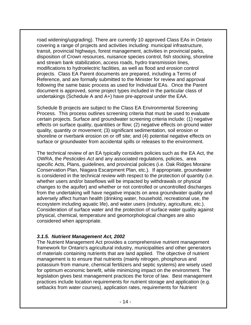road widening/upgrading). There are currently 10 approved Class EAs in Ontario covering a range of projects and activities including: municipal infrastructure, transit, provincial highways, forest management, activities in provincial parks, disposition of Crown resources, nuisance species control, fish stocking, shoreline and stream bank stabilization, access roads, hydro transmission lines, modifications to hydroelectric facilities, as well as flood and erosion control projects. Class EA Parent documents are prepared, including a Terms of Reference, and are formally submitted to the Minister for review and approval following the same basic process as used for Individual EAs. Once the Parent document is approved, some project types included in the particular class of undertakings (Schedule A and A+) have pre-approval under the EAA.

Schedule B projects are subject to the Class EA Environmental Screening Process. This process outlines screening criteria that must be used to evaluate certain projects. Surface and groundwater screening criteria include: (1) negative effects on surface quality, quantities or flow; (2) negative effects on ground water quality, quantity or movement; (3) significant sedimentation, soil erosion or shoreline or riverbank erosion on or off site; and (4) potential negative effects on surface or groundwater from accidental spills or releases to the environment.

The technical review of an EA typically considers policies such as the EA Act, the OWRA, the *Pesticides Act* and any associated regulations, policies, area specific Acts, Plans, guidelines, and provincial policies (i.e. Oak Ridges Moraine Conservation Plan, Niagara Escarpment Plan, etc.). If appropriate, groundwater is considered in the technical review with respect to the protection of quantity (i.e. whether users and/or baseflows will be impacted by withdrawals or physical changes to the aquifer) and whether or not controlled or uncontrolled discharges from the undertaking will have negative impacts on area groundwater quality and adversely affect human health (drinking water, household, recreational use, the ecosystem including aquatic life), and water users (industry, agriculture, etc.). Consideration of surface water and the protection of surface water quality against physical, chemical, temperature and geomorphological changes are also considered when appropriate.

#### *3.1.5. Nutrient Management Act, 2002*

The Nutrient Management Act provides a comprehensive nutrient management framework for Ontario's agricultural industry, municipalities and other generators of materials containing nutrients that are land applied. The objective of nutrient management is to ensure that nutrients (mainly nitrogen, phosphorus and potassium from manure, chemical fertilizers and septic systems) are wisely used for optimum economic benefit, while minimizing impact on the environment. The legislation gives best management practices the force of law. Best management practices include location requirements for nutrient storage and application (e.g. setbacks from water courses), application rates, requirements for Nutrient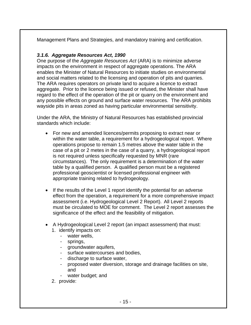Management Plans and Strategies, and mandatory training and certification.

### *3.1.6. Aggregate Resources Act, 1990*

One purpose of the *Aggregate Resources Act* (ARA) is to minimize adverse impacts on the environment in respect of aggregate operations. The ARA enables the Minister of Natural Resources to initiate studies on environmental and social matters related to the licensing and operation of pits and quarries. The ARA requires operators on private land to acquire a licence to extract aggregate. Prior to the licence being issued or refused, the Minister shall have regard to the effect of the operation of the pit or quarry on the environment and any possible effects on ground and surface water resources. The ARA prohibits wayside pits in areas zoned as having particular environmental sensitivity.

Under the ARA, the Ministry of Natural Resources has established provincial standards which include:

- For new and amended licences/permits proposing to extract near or within the water table, a requirement for a hydrogeological report. Where operations propose to remain 1.5 metres above the water table in the case of a pit or 2 metes in the case of a quarry, a hydrogeological report is not required unless specifically requested by MNR (rare circumstances). The only requirement is a determination of the water table by a qualified person. A qualified person must be a registered professional geoscientist or licensed professional engineer with appropriate training related to hydrogeology.
- If the results of the Level 1 report identify the potential for an adverse effect from the operation, a requirement for a more comprehensive impact assessment (i.e. Hydrogeological Level 2 Report). All Level 2 reports must be circulated to MOE for comment. The Level 2 report assesses the significance of the effect and the feasibility of mitigation.
- A Hydrogeological Level 2 report (an impact assessment) that must: 1. identify impacts on:
	- water wells,
	- springs,
	- groundwater aquifers,
	- surface watercourses and bodies,
	- discharge to surface water,
	- proposed water diversion, storage and drainage facilities on site, and
	- water budget; and
	- 2. provide: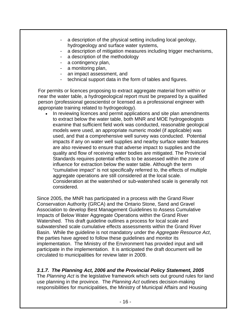- a description of the physical setting including local geology, hydrogeology and surface water systems,
- a description of mitigation measures including trigger mechanisms,
- a description of the methodology
- a contingency plan,
- a monitoring plan,
- an impact assessment, and
- technical support data in the form of tables and figures.

For permits or licences proposing to extract aggregate material from within or near the water table, a hydrogeological report must be prepared by a qualified person (professional geoscientist or licensed as a professional engineer with appropriate training related to hydrogeology).

In reviewing licences and permit applications and site plan amendments to extract below the water table, both MNR and MOE hydrogeologists examine that sufficient field work was conducted, reasonable geological models were used, an appropriate numeric model (if applicable) was used, and that a comprehensive well survey was conducted. Potential impacts if any on water well supplies and nearby surface water features are also reviewed to ensure that adverse impact to supplies and the quality and flow of receiving water bodies are mitigated. The Provincial Standards requires potential effects to be assessed within the zone of influence for extraction below the water table. Although the term "cumulative impact" is not specifically referred to, the effects of multiple aggregate operations are still considered at the local scale. Consideration at the watershed or sub-watershed scale is generally not considered.

Since 2005, the MNR has participated in a process with the Grand River Conservation Authority (GRCA) and the Ontario Stone, Sand and Gravel Association to develop Best Management Guidelines to Assess Cumulative Impacts of Below Water Aggregate Operations within the Grand River Watershed. This draft guideline outlines a process for local scale and subwatershed scale cumulative effects assessments within the Grand River Basin. While the guideline is not mandatory under the *Aggregate Resource Act*, the parties have agreed to follow these guidelines and monitor its implementation. The Ministry of the Environment has provided input and will participate in the implementation. It is anticipated the draft document will be circulated to municipalities for review later in 2009.

### *3.1.7. The Planning Act, 2006 and the Provincial Policy Statement, 2005*

The *Planning Act* is the legislative framework which sets out ground rules for land use planning in the province. The *Planning Act* outlines decision-making responsibilities for municipalities, the Ministry of Municipal Affairs and Housing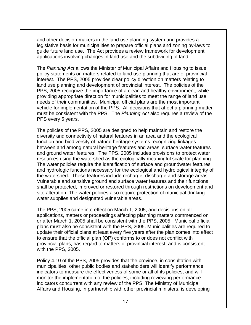and other decision-makers in the land use planning system and provides a legislative basis for municipalities to prepare official plans and zoning by-laws to guide future land use. The Act provides a review framework for development applications involving changes in land use and the subdividing of land.

The *Planning Act* allows the Minister of Municipal Affairs and Housing to issue policy statements on matters related to land use planning that are of provincial interest. The PPS, 2005 provides clear policy direction on matters relating to land use planning and development of provincial interest. The policies of the PPS, 2005 recognize the importance of a clean and healthy environment, while providing appropriate direction for municipalities to meet the range of land use needs of their communities. Municipal official plans are the most important vehicle for implementation of the PPS. All decisions that affect a planning matter must be consistent with the PPS. The *Planning Act* also requires a review of the PPS every 5 years.

The policies of the PPS, 2005 are designed to help maintain and restore the diversity and connectivity of natural features in an area and the ecological function and biodiversity of natural heritage systems recognizing linkages between and among natural heritage features and areas, surface water features and ground water features. The PPS, 2005 includes provisions to protect water resources using the watershed as the ecologically meaningful scale for planning. The water policies require the identification of surface and groundwater features and hydrologic functions necessary for the ecological and hydrological integrity of the watershed. These features include recharge, discharge and storage areas. Vulnerable and sensitive ground and surface water features and their functions shall be protected, improved or restored through restrictions on development and site alteration. The water policies also require protection of municipal drinking water supplies and designated vulnerable areas.

The PPS, 2005 came into effect on March 1, 2005, and decisions on all applications, matters or proceedings affecting planning matters commenced on or after March 1, 2005 shall be consistent with the PPS, 2005. Municipal official plans must also be consistent with the PPS, 2005. Municipalities are required to update their official plans at least every five years after the plan comes into effect to ensure that the official plan (OP) conforms to or does not conflict with provincial plans, has regard to matters of provincial interest, and is consistent with the PPS, 2005.

Policy 4.10 of the PPS, 2005 provides that the province, in consultation with municipalities, other public bodies and stakeholders will identify performance indicators to measure the effectiveness of some or all of its policies, and will monitor the implementation of the policies, including reviewing performance indicators concurrent with any review of the PPS. The Ministry of Municipal Affairs and Housing, in partnership with other provincial ministers, is developing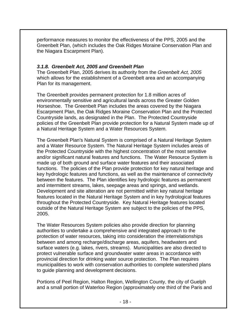performance measures to monitor the effectiveness of the PPS, 2005 and the Greenbelt Plan, (which includes the Oak Ridges Moraine Conservation Plan and the Niagara Escarpment Plan).

### *3.1.8. Greenbelt Act, 2005 and Greenbelt Plan*

The Greenbelt Plan, 2005 derives its authority from the *Greenbelt Act, 2005*  which allows for the establishment of a Greenbelt area and an accompanying Plan for its management.

The Greenbelt provides permanent protection for 1.8 million acres of environmentally sensitive and agricultural lands across the Greater Golden Horseshoe. The Greenbelt Plan includes the areas covered by the Niagara Escarpment Plan, the Oak Ridges Moraine Conservation Plan and the Protected Countryside lands, as designated in the Plan. The Protected Countryside policies of the Greenbelt Plan provide protection for a Natural System made up of a Natural Heritage System and a Water Resources System.

The Greenbelt Plan's Natural System is comprised of a Natural Heritage System and a Water Resource System. The Natural Heritage System includes areas of the Protected Countryside with the highest concentration of the most sensitive and/or significant natural features and functions. The Water Resource System is made up of both ground and surface water features and their associated functions. The policies of the Plan provide protection for key natural heritage and key hydrologic features and functions, as well as the maintenance of connectivity between the features. The Plan identifies key hydrologic features as permanent and intermittent streams, lakes, seepage areas and springs, and wetlands. Development and site alteration are not permitted within key natural heritage features located in the Natural Heritage System and in key hydrological features throughout the Protected Countryside. Key Natural Heritage features located outside of the Natural Heritage System are subject to the policies of the PPS, 2005.

The Water Resources System policies also provide direction for planning authorities to undertake a comprehensive and integrated approach to the protection of water resources, taking into consideration the interrelationships between and among recharge/discharge areas, aquifers, headwaters and surface waters (e.g. lakes, rivers, streams). Municipalities are also directed to protect vulnerable surface and groundwater water areas in accordance with provincial direction for drinking water source protection. The Plan requires municipalities to work with conservation authorities to complete watershed plans to guide planning and development decisions.

Portions of Peel Region, Halton Region, Wellington County, the city of Guelph and a small portion of Waterloo Region (approximately one third of the Paris and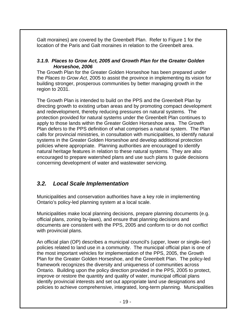Galt moraines) are covered by the Greenbelt Plan. Refer to Figure 1 for the location of the Paris and Galt moraines in relation to the Greenbelt area.

### *3.1.9. Places to Grow Act, 2005 and Growth Plan for the Greater Golden Horseshoe, 2006*

The Growth Plan for the Greater Golden Horseshoe has been prepared under the *Places to Grow Act*, 2005 to assist the province in implementing its vision for building stronger, prosperous communities by better managing growth in the region to 2031.

The Growth Plan is intended to build on the PPS and the Greenbelt Plan by directing growth to existing urban areas and by promoting compact development and redevelopment, thereby reducing pressures on natural systems. The protection provided for natural systems under the Greenbelt Plan continues to apply to those lands within the Greater Golden Horseshoe area. The Growth Plan defers to the PPS definition of what comprises a natural system. The Plan calls for provincial ministries, in consultation with municipalities, to identify natural systems in the Greater Golden Horseshoe and develop additional protection policies where appropriate. Planning authorities are encouraged to identify natural heritage features in relation to these natural systems. They are also encouraged to prepare watershed plans and use such plans to guide decisions concerning development of water and wastewater servicing.

## *3.2. Local Scale Implementation*

Municipalities and conservation authorities have a key role in implementing Ontario's policy-led planning system at a local scale.

Municipalities make local planning decisions, prepare planning documents (e.g. official plans, zoning by-laws), and ensure that planning decisions and documents are consistent with the PPS, 2005 and conform to or do not conflict with provincial plans.

An official plan (OP) describes a municipal council's (upper, lower or single–tier) policies related to land use in a community. The municipal official plan is one of the most important vehicles for implementation of the PPS, 2005, the Growth Plan for the Greater Golden Horseshoe, and the Greenbelt Plan. The policy-led framework recognizes the diversity and uniqueness of communities across Ontario. Building upon the policy direction provided in the PPS, 2005 to protect, improve or restore the quantity and quality of water, municipal official plans identify provincial interests and set out appropriate land use designations and policies to achieve comprehensive, integrated, long-term planning. Municipalities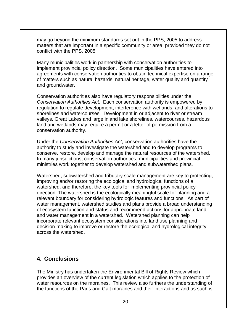may go beyond the minimum standards set out in the PPS, 2005 to address matters that are important in a specific community or area, provided they do not conflict with the PPS, 2005.

Many municipalities work in partnership with conservation authorities to implement provincial policy direction. Some municipalities have entered into agreements with conservation authorities to obtain technical expertise on a range of matters such as natural hazards, natural heritage, water quality and quantity and groundwater.

Conservation authorities also have regulatory responsibilities under the *Conservation Authorities Act*. Each conservation authority is empowered by regulation to regulate development, interference with wetlands, and alterations to shorelines and watercourses. Development in or adjacent to river or stream valleys, Great Lakes and large inland lake shorelines, watercourses, hazardous land and wetlands may require a permit or a letter of permission from a conservation authority.

Under the *Conservation Authorities Act*, conservation authorities have the authority to study and investigate the watershed and to develop programs to conserve, restore, develop and manage the natural resources of the watershed. In many jurisdictions, conservation authorities, municipalities and provincial ministries work together to develop watershed and subwatershed plans.

Watershed, subwatershed and tributary scale management are key to protecting, improving and/or restoring the ecological and hydrological functions of a watershed, and therefore, the key tools for implementing provincial policy direction. The watershed is the ecologically meaningful scale for planning and a relevant boundary for considering hydrologic features and functions. As part of water management, watershed studies and plans provide a broad understanding of ecosystem function and status and recommend actions for appropriate land and water management in a watershed. Watershed planning can help incorporate relevant ecosystem considerations into land use planning and decision-making to improve or restore the ecological and hydrological integrity across the watershed.

# **4. Conclusions**

The Ministry has undertaken the Environmental Bill of Rights Review which provides an overview of the current legislation which applies to the protection of water resources on the moraines. This review also furthers the understanding of the functions of the Paris and Galt moraines and their interactions and as such is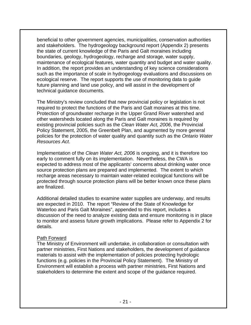beneficial to other government agencies, municipalities, conservation authorities and stakeholders. The hydrogeology background report (Appendix 2) presents the state of current knowledge of the Paris and Galt moraines including boundaries, geology, hydrogeology, recharge and storage, water supply, maintenance of ecological features, water quantity and budget and water quality. In addition, the report provides an understanding of key science considerations such as the importance of scale in hydrogeology evaluations and discussions on ecological reserve. The report supports the use of monitoring data to guide future planning and land use policy, and will assist in the development of technical guidance documents.

The Ministry's review concluded that new provincial policy or legislation is not required to protect the functions of the Paris and Galt moraines at this time. Protection of groundwater recharge in the Upper Grand River watershed and other watersheds located along the Paris and Galt moraines is required by existing provincial policies such as the *Clean Water Act, 2006*, the Provincial Policy Statement, 2005, the Greenbelt Plan, and augmented by more general policies for the protection of water quality and quantity such as the *Ontario Water Resources Act*.

Implementation of the *Clean Water Act, 2006* is ongoing, and it is therefore too early to comment fully on its implementation. Nevertheless, the CWA is expected to address most of the applicants' concerns about drinking water once source protection plans are prepared and implemented. The extent to which recharge areas necessary to maintain water-related ecological functions will be protected through source protection plans will be better known once these plans are finalized.

Additional detailed studies to examine water supplies are underway, and results are expected in 2010. The report "Review of the State of Knowledge for Waterloo and Paris Galt Moraines", appended to this report, includes a discussion of the need to analyze existing data and ensure monitoring is in place to monitor and assess future growth implications. Please refer to Appendix 2 for details.

#### Path Forward

The Ministry of Environment will undertake, in collaboration or consultation with partner ministries, First Nations and stakeholders, the development of guidance materials to assist with the implementation of policies protecting hydrologic functions (e.g. policies in the Provincial Policy Statement). The Ministry of Environment will establish a process with partner ministries, First Nations and stakeholders to determine the extent and scope of the guidance required.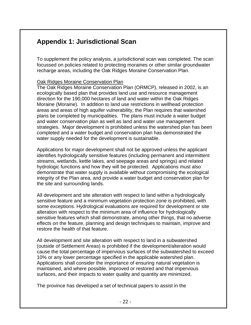# **Appendix 1: Jurisdictional Scan**

To supplement the policy analysis, a jurisdictional scan was completed. The scan focussed on policies related to protecting moraines or other similar groundwater recharge areas, including the Oak Ridges Moraine Conservation Plan.

#### Oak Ridges Moraine Conservation Plan

The Oak Ridges Moraine Conservation Plan (ORMCP), released in 2002, is an ecologically based plan that provides land use and resource management direction for the 190,000 hectares of land and water within the Oak Ridges Moraine (Moraine). In addition to land use restrictions in wellhead protection areas and areas of high aquifer vulnerability, the Plan requires that watershed plans be completed by municipalities. The plans must include a water budget and water conservation plan as well as land and water use management strategies. Major development is prohibited unless the watershed plan has been completed and a water budget and conservation plan has demonstrated the water supply needed for the development is sustainable.

Applications for major development shall not be approved unless the applicant identifies hydrologically sensitive features (including permanent and intermittent streams, wetlands, kettle lakes, and seepage areas and springs) and related hydrologic functions and how they will be protected. Applications must also demonstrate that water supply is available without compromising the ecological integrity of the Plan area, and provide a water budget and conservation plan for the site and surrounding lands.

All development and site alteration with respect to land within a hydrologically sensitive feature and a minimum vegetation protection zone is prohibited, with some exceptions. Hydrological evaluations are required for development or site alteration with respect to the minimum area of influence for hydrologically sensitive features which shall demonstrate, among other things, that no adverse effects on the feature, planning and design techniques to maintain, improve and restore the health of that feature.

All development and site alteration with respect to land in a subwatershed (outside of Settlement Areas) is prohibited if the development/alteration would cause the total percentage of impervious surfaces of the subwatershed to exceed 10% or any lower percentage specified in the applicable watershed plan. Applications shall consider the importance of ensuring natural vegetation is maintained, and where possible, improved or restored and that impervious surfaces, and their impacts to water quality and quantity are minimized.

The province has developed a set of technical papers to assist in the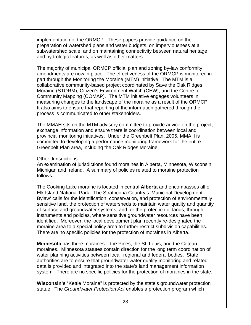implementation of the ORMCP. These papers provide guidance on the preparation of watershed plans and water budgets, on imperviousness at a subwatershed scale, and on maintaining connectivity between natural heritage and hydrologic features, as well as other matters.

The majority of municipal ORMCP official plan and zoning by-law conformity amendments are now in place. The effectiveness of the ORMCP is monitored in part through the Monitoring the Moraine (MTM) initiative. The MTM is a collaborative community-based project coordinated by Save the Oak Ridges Moraine (STORM), Citizen's Environment Watch (CEW), and the Centre for Community Mapping (COMAP). The MTM initiative engages volunteers in measuring changes to the landscape of the moraine as a result of the ORMCP. It also aims to ensure that reporting of the information gathered through the process is communicated to other stakeholders.

The MMAH sits on the MTM advisory committee to provide advice on the project, exchange information and ensure there is coordination between local and provincial monitoring initiatives. Under the Greenbelt Plan, 2005, MMAH is committed to developing a performance monitoring framework for the entire Greenbelt Plan area, including the Oak Ridges Moraine.

#### Other Jurisdictions

An examination of jurisdictions found moraines in Alberta, Minnesota, Wisconsin, Michigan and Ireland. A summary of policies related to moraine protection follows.

The Cooking Lake moraine is located in central **Alberta** and encompasses all of Elk Island National Park. The Strathcona Country's 'Municipal Development Bylaw' calls for the identification, conservation, and protection of environmentally sensitive land, the protection of watersheds to maintain water quality and quantity of surface and groundwater systems, and for the protection of lands, through instruments and policies, where sensitive groundwater resources have been identified. Moreover, the local development plan recently re-designated the moraine area to a special policy area to further restrict subdivision capabilities. There are no specific policies for the protection of moraines in Alberta.

**Minnesota** has three moraines – the Pines, the St. Louis, and the Coteau moraines. Minnesota statutes contain direction for the long term coordination of water planning activities between local, regional and federal bodies. State authorities are to ensure that groundwater water quality monitoring and related data is provided and integrated into the state's land management information system. There are no specific policies for the protection of moraines in the state.

**Wisconsin's** "Kettle Moraine" is protected by the state's groundwater protection statue. The *Groundwater Protection Act* enables a protection program which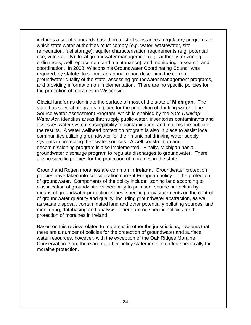includes a set of standards based on a list of substances; regulatory programs to which state water authorities must comply (e.g. water, wastewater, site remediation, fuel storage); aquifer characterisation requirements (e.g. potential use, vulnerability); local groundwater management (e.g. authority for zoning, ordinances, well replacement and maintenance); and monitoring, research, and coordination. In 2008, Wisconsin's Groundwater Coordinating Council was required, by statute, to submit an annual report describing the current groundwater quality of the state, assessing groundwater management programs, and providing information on implementation. There are no specific policies for the protection of moraines in Wisconsin.

Glacial landforms dominate the surface of most of the state of **Michigan**. The state has several programs in place for the protection of drinking water. The Source Water Assessment Program, which is enabled by the *Safe Drinking Water Act*, identifies areas that supply public water, inventories contaminants and assesses water system susceptibility to contamination, and informs the public of the results. A water wellhead protection program is also in place to assist local communities utilizing groundwater for their municipal drinking water supply systems in protecting their water sources. A well construction and decommissioning program is also implemented. Finally, Michigan has a groundwater discharge program to regulate discharges to groundwater. There are no specific policies for the protection of moraines in the state.

Ground and Rogen moraines are common in **Ireland.** Groundwater protection policies have taken into consideration current European policy for the protection of groundwater. Components of the policy include: zoning land according to classification of groundwater vulnerability to pollution; source protection by means of groundwater protection zones; specific policy statements on the control of groundwater quantity and quality, including groundwater abstraction, as well as waste disposal, contaminated land and other potentially polluting sources; and monitoring, databasing and analysis. There are no specific policies for the protection of moraines in Ireland.

Based on this review related to moraines in other the jurisdictions, it seems that there are a number of policies for the protection of groundwater and surface water resources, however, with the exception of the Oak Ridges Moraine Conservation Plan, there are no other policy statements intended specifically for moraine protection.